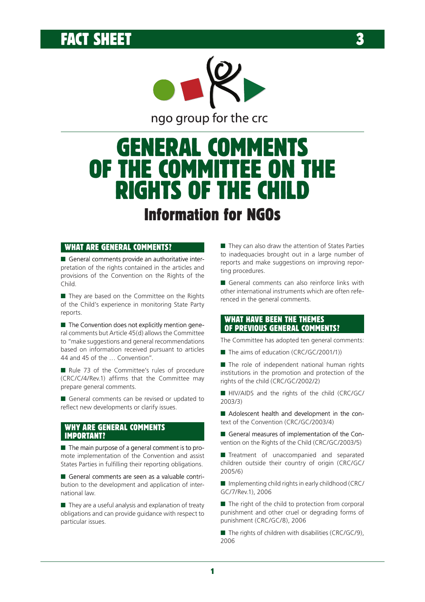# FACT SHEE



# GENERAL COMMENTS OF THE COMMITTEE ON THE RIGHTS OF THE CHILD **Information for NGOs**

# **WHAT ARE GENERAL COMMENTS?**

General comments provide an authoritative interpretation of the rights contained in the articles and provisions of the Convention on the Rights of the Child.

They are based on the Committee on the Rights of the Child's experience in monitoring State Party reports.

The Convention does not explicitly mention general comments but Article 45(d) allows the Committee to "make suggestions and general recommendations based on information received pursuant to articles 44 and 45 of the ... Convention".

Rule 73 of the Committee's rules of procedure (CRC/C/4/Rev.1) affirms that the Committee may prepare general comments.

General comments can be revised or updated to reflect new developments or clarify issues.

#### **WHY ARE GENERAL COMMENTS IMPORTANT?**

The main purpose of a general comment is to promote implementation of the Convention and assist States Parties in fulfilling their reporting obligations.

General comments are seen as a valuable contribution to the development and application of international law.

 $\blacksquare$  They are a useful analysis and explanation of treaty obligations and can provide quidance with respect to particular issues.

They can also draw the attention of States Parties to inadequacies brought out in a large number of reports and make suggestions on improving reporting procedures.

General comments can also reinforce links with other international instruments which are often referenced in the general comments.

# **WHAT HAVE BEEN THE THEMES** OF PREVIOUS GENERAL COMMENTS?

The Committee has adopted ten general comments:

The aims of education (CRC/GC/2001/1))

The role of independent national human rights institutions in the promotion and protection of the rights of the child (CRC/GC/2002/2)

HIV/AIDS and the rights of the child (CRC/GC/  $2003/3)$ 

Adolescent health and development in the context of the Convention (CRC/GC/2003/4)

General measures of implementation of the Convention on the Rights of the Child (CRC/GC/2003/5)

Treatment of unaccompanied and separated children outside their country of origin (CRC/GC/  $2005/6)$ 

 $\blacksquare$  Implementing child rights in early childhood (CRC/ GC/7/Rev.1), 2006

The right of the child to protection from corporal punishment and other cruel or degrading forms of punishment (CRC/GC/8), 2006

 $\blacksquare$  The rights of children with disabilities (CRC/GC/9), 2006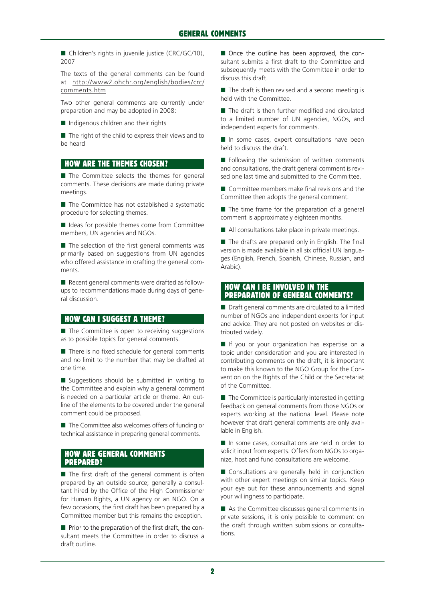■ Children's rights in juvenile justice (CRC/GC/10), 2007

The texts of the general comments can be found at http://www2.ohchr.org/english/bodies/crc/ comments.htm

Two other general comments are currently under preparation and may be adopted in 2008:

 $\blacksquare$  Indigenous children and their rights

 $\blacksquare$  The right of the child to express their views and to be heard

# **HOW ARE THE THEMES CHOSEN?**

 $\blacksquare$  The Committee selects the themes for general comments. These decisions are made during private meetings.

 $\blacksquare$  The Committee has not established a systematic procedure for selecting themes.

 $\blacksquare$  Ideas for possible themes come from Committee members, UN agencies and NGOs.

 $\blacksquare$  The selection of the first general comments was primarily based on suggestions from UN agencies who offered assistance in drafting the general comments.

 $\blacksquare$  Recent general comments were drafted as followups to recommendations made during days of general discussion.

# How can I suggest a theme?

 $\blacksquare$  The Committee is open to receiving suggestions as to possible topics for general comments.

 $\blacksquare$  There is no fixed schedule for general comments and no limit to the number that may be drafted at one time.

 $\blacksquare$  Suggestions should be submitted in writing to the Committee and explain why a general comment is needed on a particular article or theme. An outline of the elements to be covered under the general comment could be proposed.

 $\blacksquare$  The Committee also welcomes offers of funding or technical assistance in preparing general comments.

#### How are general comments prepared?

 $\blacksquare$  The first draft of the general comment is often prepared by an outside source; generally a consultant hired by the Office of the High Commissioner for Human Rights, a UN agency or an NGO. On a few occasions, the first draft has been prepared by a Committee member but this remains the exception.

Prior to the preparation of the first draft, the consultant meets the Committee in order to discuss a draft outline.

 $\blacksquare$  Once the outline has been approved, the consultant submits a first draft to the Committee and subsequently meets with the Committee in order to discuss this draft.

 $\blacksquare$  The draft is then revised and a second meeting is held with the Committee.

 $\blacksquare$  The draft is then further modified and circulated to a limited number of UN agencies, NGOs, and independent experts for comments.

 $\blacksquare$  In some cases, expert consultations have been held to discuss the draft.

 $\blacksquare$  Following the submission of written comments and consultations, the draft general comment is revised one last time and submitted to the Committee.

 $\blacksquare$  Committee members make final revisions and the Committee then adopts the general comment.

 $\blacksquare$  The time frame for the preparation of a general comment is approximately eighteen months.

 $\blacksquare$  All consultations take place in private meetings.

 $\blacksquare$  The drafts are prepared only in English. The final version is made available in all six official UN languages (English, French, Spanish, Chinese, Russian, and Arabic).

# How can I be involved in the preparation of general comments?

 $\blacksquare$  Draft general comments are circulated to a limited number of NGOs and independent experts for input and advice. They are not posted on websites or distributed widely.

If you or your organization has expertise on a topic under consideration and you are interested in contributing comments on the draft, it is important to make this known to the NGO Group for the Convention on the Rights of the Child or the Secretariat of the Committee.

 $\blacksquare$  The Committee is particularly interested in getting feedback on general comments from those NGOs or experts working at the national level. Please note however that draft general comments are only available in English.

 $\blacksquare$  In some cases, consultations are held in order to solicit input from experts. Offers from NGOs to organize, host and fund consultations are welcome.

**n** Consultations are generally held in conjunction with other expert meetings on similar topics. Keep your eye out for these announcements and signal your willingness to participate.

 $\blacksquare$  As the Committee discusses general comments in private sessions, it is only possible to comment on the draft through written submissions or consultations.